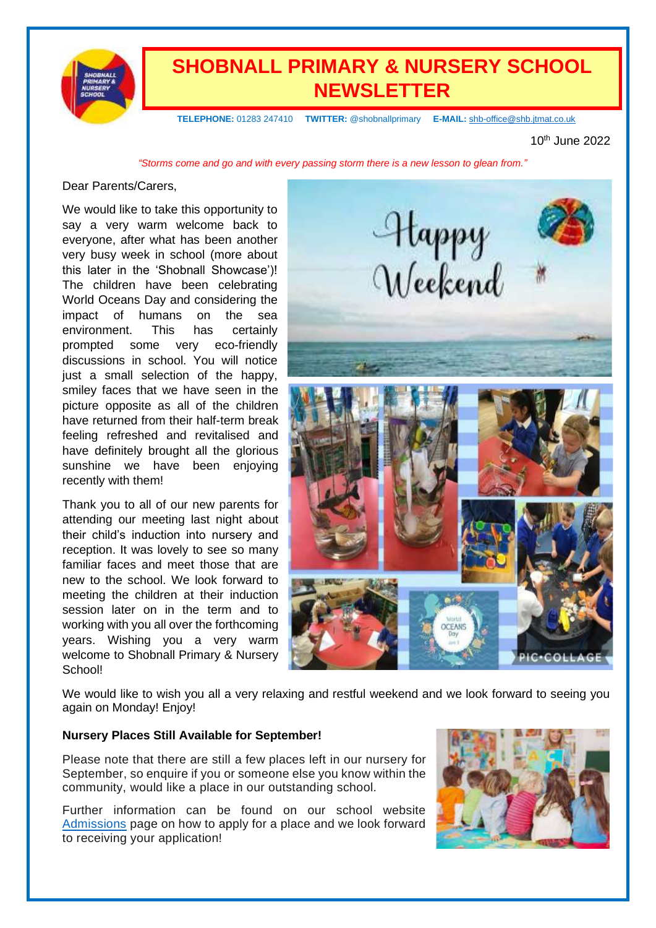

## **SHOBNALL PRIMARY & NURSERY SCHOOL NEWSLETTER**

 **TELEPHONE:** 01283 247410 **TWITTER:** @shobnallprimary **E-MAIL:** [shb-office@shb.jtmat.co.uk](mailto:shb-office@shb.jtmat.co.uk)

10th June 2022

*"Storms come and go and with every passing storm there is a new lesson to glean from."*

#### Dear Parents/Carers,

We would like to take this opportunity to say a very warm welcome back to everyone, after what has been another very busy week in school (more about this later in the 'Shobnall Showcase')! The children have been celebrating World Oceans Day and considering the impact of humans on the sea environment. This has certainly prompted some very eco-friendly discussions in school. You will notice just a small selection of the happy. smiley faces that we have seen in the picture opposite as all of the children have returned from their half-term break feeling refreshed and revitalised and have definitely brought all the glorious sunshine we have been enjoying recently with them!

Thank you to all of our new parents for attending our meeting last night about their child's induction into nursery and reception. It was lovely to see so many familiar faces and meet those that are new to the school. We look forward to meeting the children at their induction session later on in the term and to working with you all over the forthcoming years. Wishing you a very warm welcome to Shobnall Primary & Nursery School!



We would like to wish you all a very relaxing and restful weekend and we look forward to seeing you again on Monday! Enjoy!

#### **Nursery Places Still Available for September!**

Please note that there are still a few places left in our nursery for September, so enquire if you or someone else you know within the community, would like a place in our outstanding school.

Further information can be found on our school website [Admissions](https://shobnallprimaryschool.co.uk/admissions-procedures/) page on how to apply for a place and we look forward to receiving your application!

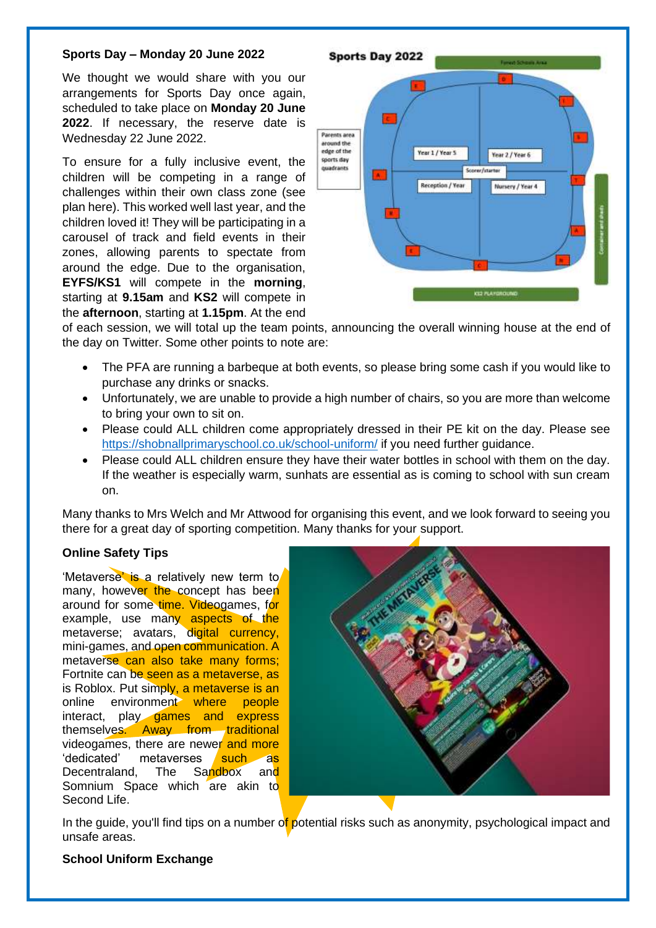#### **Sports Day – Monday 20 June 2022**

We thought we would share with you our arrangements for Sports Day once again, scheduled to take place on **Monday 20 June 2022**. If necessary, the reserve date is Wednesday 22 June 2022.

To ensure for a fully inclusive event, the children will be competing in a range of challenges within their own class zone (see plan here). This worked well last year, and the children loved it! They will be participating in a carousel of track and field events in their zones, allowing parents to spectate from around the edge. Due to the organisation, **EYFS/KS1** will compete in the **morning**, starting at **9.15am** and **KS2** will compete in the **afternoon**, starting at **1.15pm**. At the end



of each session, we will total up the team points, announcing the overall winning house at the end of the day on Twitter. Some other points to note are:

- The PFA are running a barbeque at both events, so please bring some cash if you would like to purchase any drinks or snacks.
- Unfortunately, we are unable to provide a high number of chairs, so you are more than welcome to bring your own to sit on.
- Please could ALL children come appropriately dressed in their PE kit on the day. Please see <https://shobnallprimaryschool.co.uk/school-uniform/> if you need further guidance.
- Please could ALL children ensure they have their water bottles in school with them on the day. If the weather is especially warm, sunhats are essential as is coming to school with sun cream on.

Many thanks to Mrs Welch and Mr Attwood for organising this event, and we look forward to seeing you there for a great day of sporting competition. Many thanks for your support.

#### **Online Safety Tips**

'Metaverse' is a relatively new term to many, however the concept has been around for some time. Videogames, for example, use many aspects of the metaverse; avatars, digital currency, mini-games, and open communication. A metaverse can also take many forms; Fortnite can be seen as a metaverse, as is Roblox. Put simply, a metaverse is an online environment where people interact, play games and express themselves. Away from traditional videogames, there are newer and more 'dedicated' metaverses such as Decentraland, The Sandbox and Somnium Space which are akin to Second Life.



In the guide, you'll find tips on a number of potential risks such as anonymity, psychological impact and unsafe areas.

#### **School Uniform Exchange**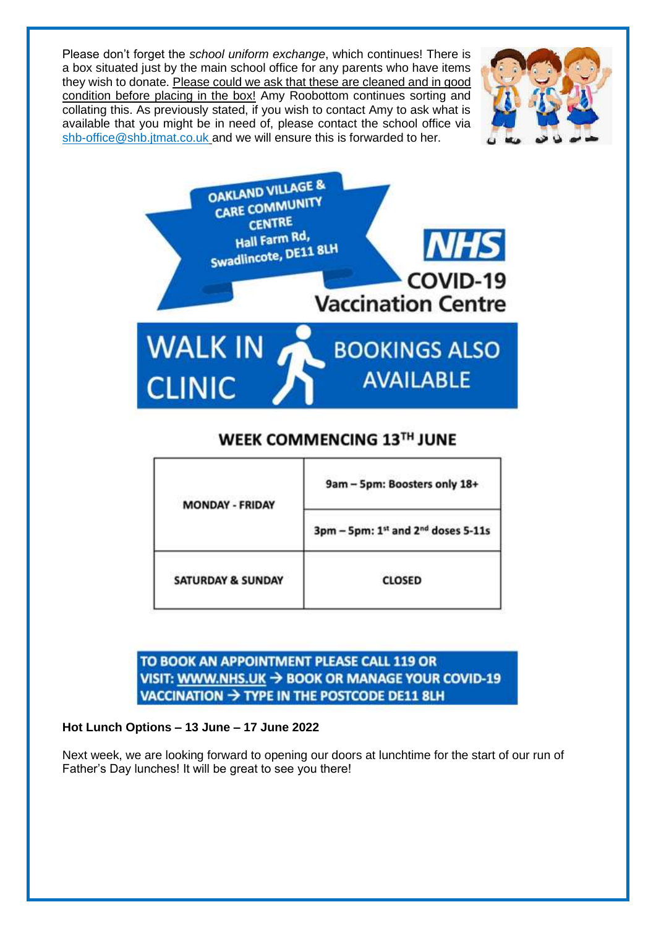Please don't forget the *school uniform exchange*, which continues! There is a box situated just by the main school office for any parents who have items they wish to donate. Please could we ask that these are cleaned and in good condition before placing in the box! Amy Roobottom continues sorting and collating this. As previously stated, if you wish to contact Amy to ask what is available that you might be in need of, please contact the school office via [shb-office@shb.jtmat.co.uk](mailto:shb-office@shb.jtmat.co.uk) and we will ensure this is forwarded to her.





### WEEK COMMENCING 13TH JUNE

| <b>MONDAY - FRIDAY</b>       | 9am - 5pm: Boosters only 18+       |
|------------------------------|------------------------------------|
|                              | 3pm - 5pm: 1st and 2nd doses 5-11s |
| <b>SATURDAY &amp; SUNDAY</b> | <b>CLOSED</b>                      |

TO BOOK AN APPOINTMENT PLEASE CALL 119 OR VISIT: WWW.NHS.UK  $\rightarrow$  BOOK OR MANAGE YOUR COVID-19 VACCINATION  $\rightarrow$  TYPE IN THE POSTCODE DE11 8LH

#### **Hot Lunch Options – 13 June – 17 June 2022**

Next week, we are looking forward to opening our doors at lunchtime for the start of our run of Father's Day lunches! It will be great to see you there!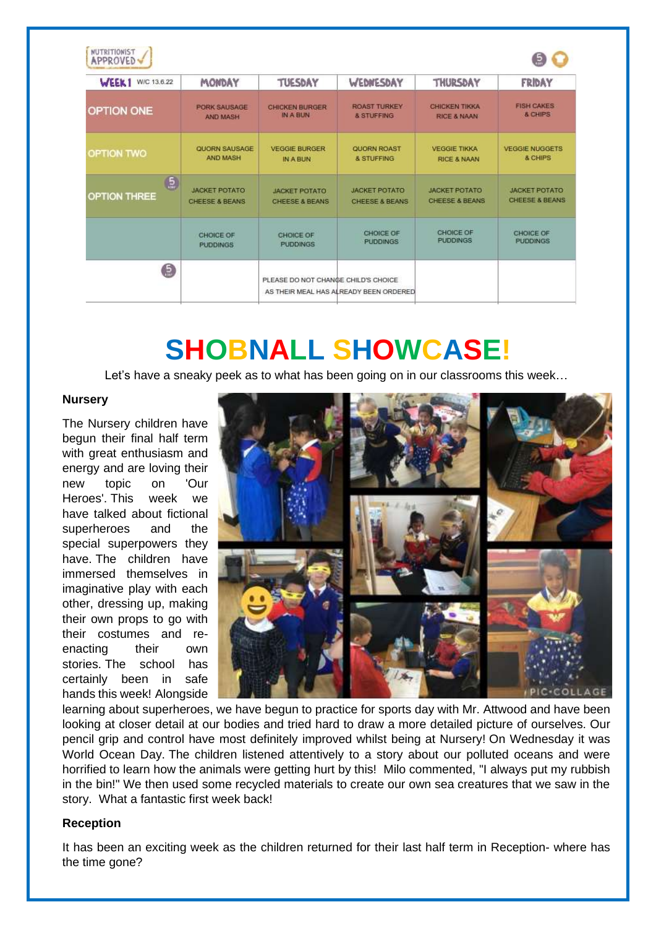| WEEK1<br>W/C 13.6.22 | MONDAY                    | <b>TUESDAY</b>            | WEDNESDAY                 | THURSDAY               | <b>FRIDAY</b>             |
|----------------------|---------------------------|---------------------------|---------------------------|------------------------|---------------------------|
| <b>OPTION ONE</b>    | <b>PORK SAUSAGE</b>       | <b>CHICKEN BURGER</b>     | <b>ROAST TURKEY</b>       | <b>CHICKEN TIKKA</b>   | <b>FISH CAKES</b>         |
|                      | <b>AND MASH</b>           | <b>IN A BUN</b>           | <b>&amp; STUFFING</b>     | RICE & NAAN            | & CHIPS                   |
| OPTION TWO           | <b>QUORN SAUSAGE</b>      | <b>VEGGIE BURGER</b>      | <b>QUORN ROAST</b>        | <b>VEGGIE TIKKA</b>    | <b>VEGGIE NUGGETS</b>     |
|                      | <b>AND MASH</b>           | <b>IN A BUN</b>           | & STUFFING                | <b>RICE &amp; NAAN</b> | & CHIPS                   |
| (a)                  | <b>JACKET POTATO</b>      | <b>JACKET POTATO</b>      | <b>JACKET POTATO</b>      | <b>JACKET POTATO</b>   | <b>JACKET POTATO</b>      |
| <b>OPTION THREE</b>  | <b>CHEESE &amp; BEANS</b> | <b>CHEESE &amp; BEANS</b> | <b>CHEESE &amp; BEANS</b> | CHEESE & BEANS         | <b>CHEESE &amp; BEANS</b> |
|                      | <b>CHOICE OF</b>          | CHOICE OF                 | CHOICE OF                 | CHOICE OF              | <b>CHOICE OF</b>          |
|                      | <b>PUDDINGS</b>           | <b>PUDDINGS</b>           | <b>PUDDINGS</b>           | <b>PUDDINGS</b>        | <b>PUDDINGS</b>           |

# **SHOBNALL SHOWCASE!**

Let's have a sneaky peek as to what has been going on in our classrooms this week…

#### **Nursery**

The Nursery children have begun their final half term with great enthusiasm and energy and are loving their new topic on 'Our Heroes'. This week we have talked about fictional superheroes and the special superpowers they have. The children have immersed themselves in imaginative play with each other, dressing up, making their own props to go with their costumes and reenacting their own stories. The school has certainly been in safe hands this week! Alongside



learning about superheroes, we have begun to practice for sports day with Mr. Attwood and have been looking at closer detail at our bodies and tried hard to draw a more detailed picture of ourselves. Our pencil grip and control have most definitely improved whilst being at Nursery! On Wednesday it was World Ocean Day. The children listened attentively to a story about our polluted oceans and were horrified to learn how the animals were getting hurt by this! Milo commented, "I always put my rubbish in the bin!" We then used some recycled materials to create our own sea creatures that we saw in the story. What a fantastic first week back!

#### **Reception**

It has been an exciting week as the children returned for their last half term in Reception- where has the time gone?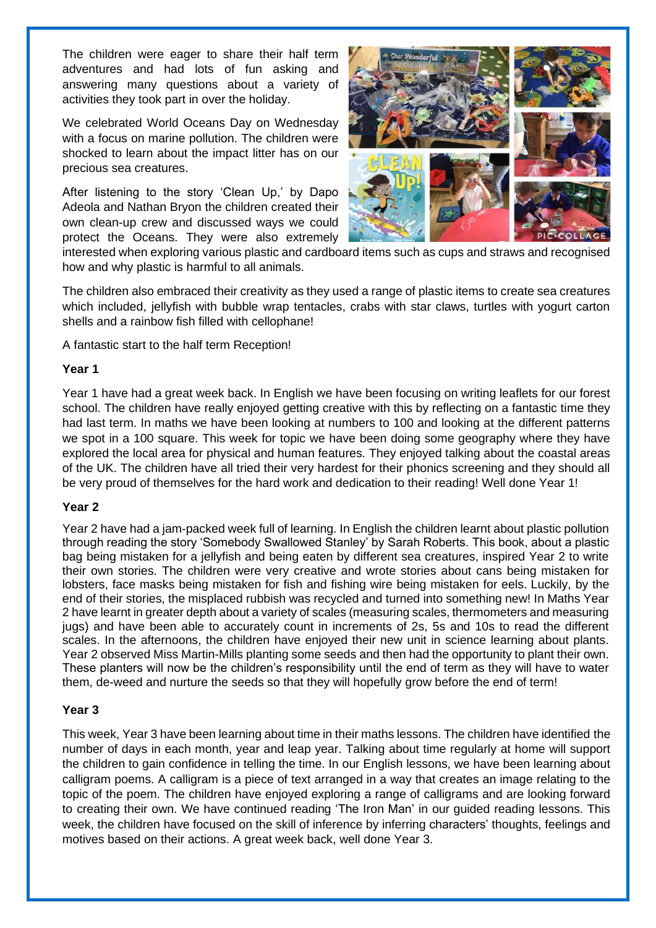The children were eager to share their half term adventures and had lots of fun asking and answering many questions about a variety of activities they took part in over the holiday.

We celebrated World Oceans Day on Wednesday with a focus on marine pollution. The children were shocked to learn about the impact litter has on our precious sea creatures.

After listening to the story 'Clean Up,' by Dapo Adeola and Nathan Bryon the children created their own clean-up crew and discussed ways we could protect the Oceans. They were also extremely



interested when exploring various plastic and cardboard items such as cups and straws and recognised how and why plastic is harmful to all animals.

The children also embraced their creativity as they used a range of plastic items to create sea creatures which included, jellyfish with bubble wrap tentacles, crabs with star claws, turtles with yogurt carton shells and a rainbow fish filled with cellophane!

A fantastic start to the half term Reception!

#### **Year 1**

Year 1 have had a great week back. In English we have been focusing on writing leaflets for our forest school. The children have really enjoyed getting creative with this by reflecting on a fantastic time they had last term. In maths we have been looking at numbers to 100 and looking at the different patterns we spot in a 100 square. This week for topic we have been doing some geography where they have explored the local area for physical and human features. They enjoyed talking about the coastal areas of the UK. The children have all tried their very hardest for their phonics screening and they should all be very proud of themselves for the hard work and dedication to their reading! Well done Year 1!

#### **Year 2**

Year 2 have had a jam-packed week full of learning. In English the children learnt about plastic pollution through reading the story 'Somebody Swallowed Stanley' by Sarah Roberts. This book, about a plastic bag being mistaken for a jellyfish and being eaten by different sea creatures, inspired Year 2 to write their own stories. The children were very creative and wrote stories about cans being mistaken for lobsters, face masks being mistaken for fish and fishing wire being mistaken for eels. Luckily, by the end of their stories, the misplaced rubbish was recycled and turned into something new! In Maths Year 2 have learnt in greater depth about a variety of scales (measuring scales, thermometers and measuring jugs) and have been able to accurately count in increments of 2s, 5s and 10s to read the different scales. In the afternoons, the children have enjoyed their new unit in science learning about plants. Year 2 observed Miss Martin-Mills planting some seeds and then had the opportunity to plant their own. These planters will now be the children's responsibility until the end of term as they will have to water them, de-weed and nurture the seeds so that they will hopefully grow before the end of term!

#### **Year 3**

This week, Year 3 have been learning about time in their maths lessons. The children have identified the number of days in each month, year and leap year. Talking about time regularly at home will support the children to gain confidence in telling the time. In our English lessons, we have been learning about calligram poems. A calligram is a piece of text arranged in a way that creates an image relating to the topic of the poem. The children have enjoyed exploring a range of calligrams and are looking forward to creating their own. We have continued reading 'The Iron Man' in our guided reading lessons. This week, the children have focused on the skill of inference by inferring characters' thoughts, feelings and motives based on their actions. A great week back, well done Year 3.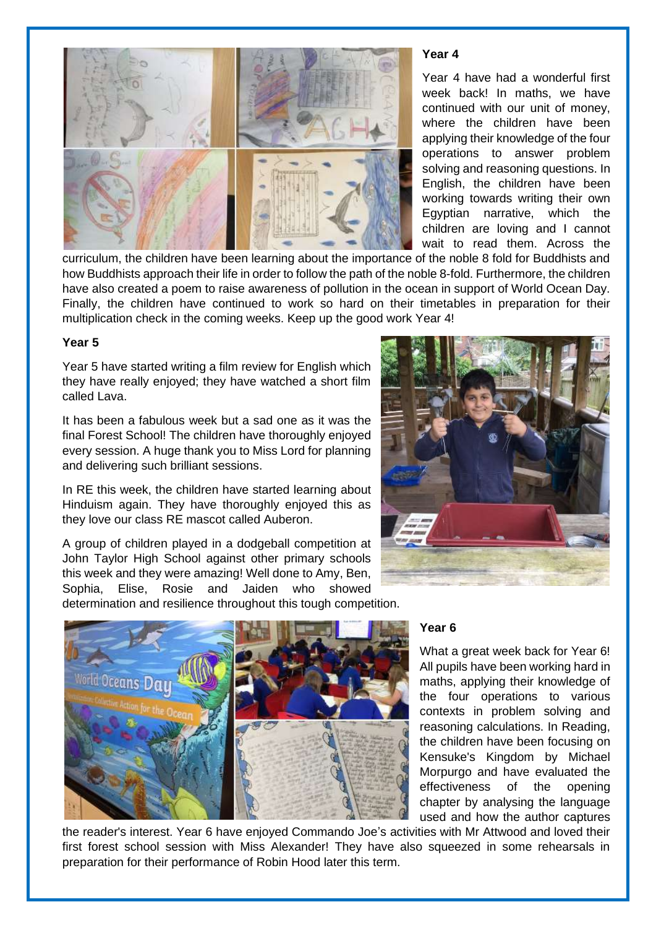

#### **Year 4**

Year 4 have had a wonderful first week back! In maths, we have continued with our unit of money, where the children have been applying their knowledge of the four operations to answer problem solving and reasoning questions. In English, the children have been working towards writing their own Egyptian narrative, which the children are loving and I cannot wait to read them. Across the

curriculum, the children have been learning about the importance of the noble 8 fold for Buddhists and how Buddhists approach their life in order to follow the path of the noble 8-fold. Furthermore, the children have also created a poem to raise awareness of pollution in the ocean in support of World Ocean Day. Finally, the children have continued to work so hard on their timetables in preparation for their multiplication check in the coming weeks. Keep up the good work Year 4!

#### **Year 5**

Year 5 have started writing a film review for English which they have really enjoyed; they have watched a short film called Lava.

It has been a fabulous week but a sad one as it was the final Forest School! The children have thoroughly enjoyed every session. A huge thank you to Miss Lord for planning and delivering such brilliant sessions.

In RE this week, the children have started learning about Hinduism again. They have thoroughly enjoyed this as they love our class RE mascot called Auberon.

A group of children played in a dodgeball competition at John Taylor High School against other primary schools this week and they were amazing! Well done to Amy, Ben, Sophia, Elise, Rosie and Jaiden who showed determination and resilience throughout this tough competition.





#### **Year 6**

What a great week back for Year 6! All pupils have been working hard in maths, applying their knowledge of the four operations to various contexts in problem solving and reasoning calculations. In Reading, the children have been focusing on Kensuke's Kingdom by Michael Morpurgo and have evaluated the effectiveness of the opening chapter by analysing the language used and how the author captures

the reader's interest. Year 6 have enjoyed Commando Joe's activities with Mr Attwood and loved their first forest school session with Miss Alexander! They have also squeezed in some rehearsals in preparation for their performance of Robin Hood later this term.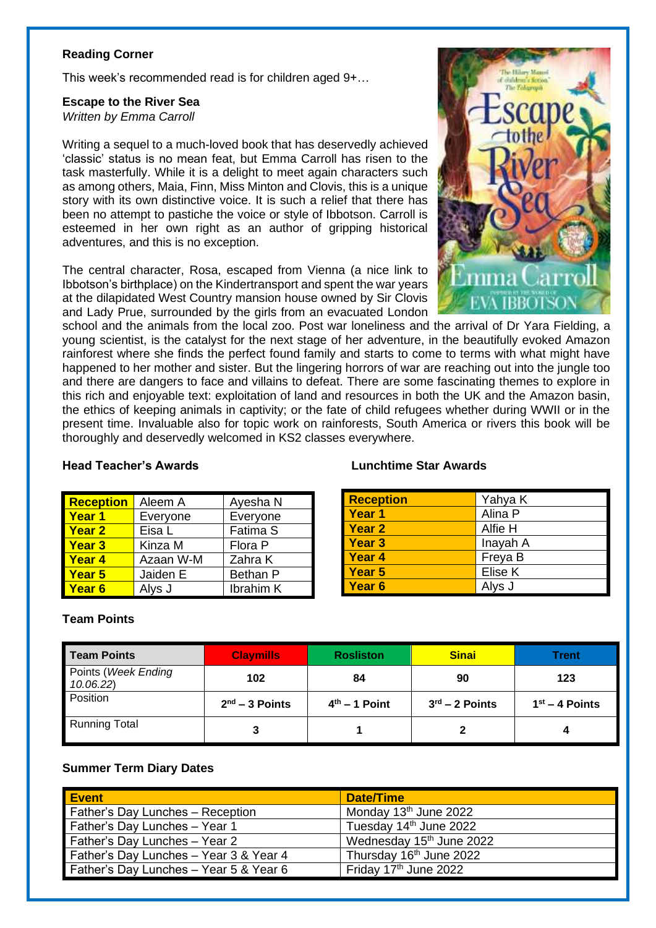#### **Reading Corner**

This week's recommended read is for children aged 9+…

#### **Escape to the River Sea**

*Written by Emma Carroll*

Writing a sequel to a much-loved book that has deservedly achieved 'classic' status is no mean feat, but Emma Carroll has risen to the task masterfully. While it is a delight to meet again characters such as among others, Maia, Finn, Miss Minton and Clovis, this is a unique story with its own distinctive voice. It is such a relief that there has been no attempt to pastiche the voice or style of Ibbotson. Carroll is esteemed in her own right as an author of gripping historical adventures, and this is no exception.

The central character, Rosa, escaped from Vienna (a nice link to Ibbotson's birthplace) on the Kindertransport and spent the war years at the dilapidated West Country mansion house owned by Sir Clovis and Lady Prue, surrounded by the girls from an evacuated London

school and the animals from the local zoo. Post war loneliness and the arrival of Dr Yara Fielding, a young scientist, is the catalyst for the next stage of her adventure, in the beautifully evoked Amazon rainforest where she finds the perfect found family and starts to come to terms with what might have happened to her mother and sister. But the lingering horrors of war are reaching out into the jungle too and there are dangers to face and villains to defeat. There are some fascinating themes to explore in this rich and enjoyable text: exploitation of land and resources in both the UK and the Amazon basin, the ethics of keeping animals in captivity; or the fate of child refugees whether during WWII or in the present time. Invaluable also for topic work on rainforests, South America or rivers this book will be thoroughly and deservedly welcomed in KS2 classes everywhere.

| Reception         | Aleem A   | Ayesha N        |
|-------------------|-----------|-----------------|
| Year 1            | Everyone  | Everyone        |
| Year 2            | Eisa L    | Fatima S        |
| Year 3            | Kinza M   | Flora P         |
| Year 4            | Azaan W-M | Zahra K         |
| Year 5            | Jaiden E  | <b>Bethan P</b> |
| Year <sub>6</sub> | Alvs J    | Ibrahim K       |

#### **Head Teacher's Awards Lunchtime Star Awards**

| <b>Reception</b> | Yahya K  |
|------------------|----------|
| Year 1           | Alina P  |
| Year 2           | Alfie H  |
| Year 3           | Inayah A |
| Year 4           | Freya B  |
| Year 5           | Elise K  |
| Year 6           | Alvs J   |

#### **Team Points**

| <b>Team Points</b>              | <b>Claymills</b> | <b>Rosliston</b> | <b>Sinai</b>     | Trent            |
|---------------------------------|------------------|------------------|------------------|------------------|
| Points (Week Ending<br>10.06.22 | 102              | 84               | 90               | 123              |
| Position                        | $2nd - 3$ Points | $4th - 1$ Point  | $3rd - 2$ Points | $1st - 4$ Points |
| <b>Running Total</b>            | 3                |                  |                  |                  |

#### **Summer Term Diary Dates**

| Event                                             | Date/Time                            |
|---------------------------------------------------|--------------------------------------|
| Father's Day Lunches - Reception                  | Monday 13 <sup>th</sup> June 2022    |
| <b>Father's Day Lunches - Year 1</b>              | Tuesday 14 <sup>th</sup> June 2022   |
| <b>Father's Day Lunches - Year 2</b>              | Wednesday 15 <sup>th</sup> June 2022 |
| Father's Day Lunches - Year 3 & Year 4            | Thursday 16 <sup>th</sup> June 2022  |
| <b>Father's Day Lunches - Year 5 &amp; Year 6</b> | Friday 17 <sup>th</sup> June 2022    |

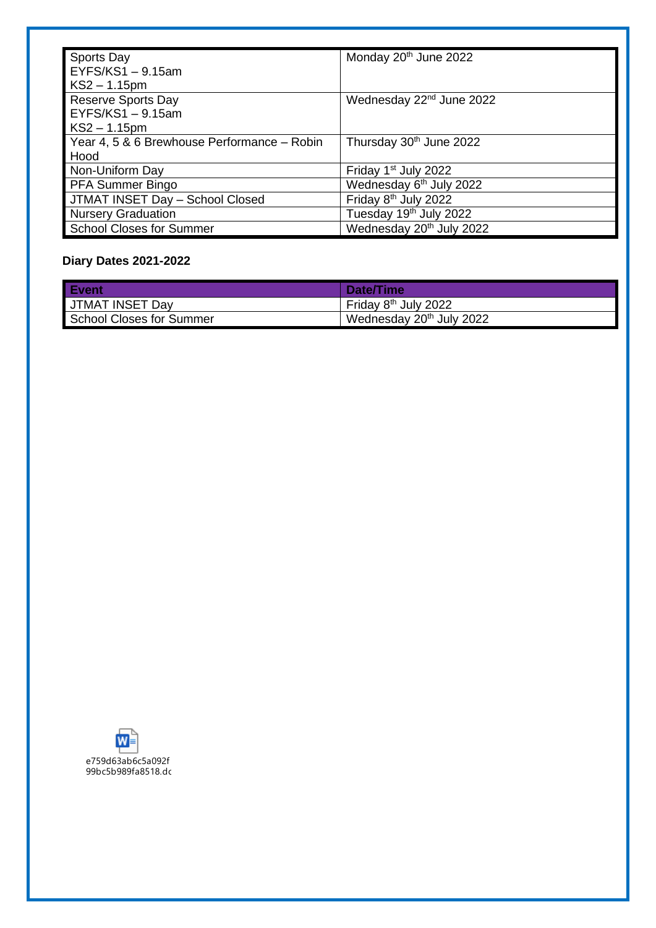| <b>Sports Day</b>                           | Monday 20 <sup>th</sup> June 2022    |
|---------------------------------------------|--------------------------------------|
| $EYFS/KS1 - 9.15am$                         |                                      |
| $KS2 - 1.15$ pm                             |                                      |
| <b>Reserve Sports Day</b>                   | Wednesday 22 <sup>nd</sup> June 2022 |
|                                             |                                      |
| $EYFS/KS1 - 9.15am$                         |                                      |
| $KS2 - 1.15$ pm                             |                                      |
| Year 4, 5 & 6 Brewhouse Performance - Robin | Thursday 30th June 2022              |
| <b>Hood</b>                                 |                                      |
| Non-Uniform Day                             | Friday 1 <sup>st</sup> July 2022     |
| <b>PFA Summer Bingo</b>                     | Wednesday 6 <sup>th</sup> July 2022  |
| JTMAT INSET Day - School Closed             | Friday 8 <sup>th</sup> July 2022     |
| <b>Nursery Graduation</b>                   | Tuesday 19th July 2022               |
| School Closes for Summer                    | Wednesday 20 <sup>th</sup> July 2022 |

#### **Diary Dates 2021-2022**

| <b>Event</b>             | Date/Time                            |
|--------------------------|--------------------------------------|
| JTMAT INSET Day          | Friday $8th$ July 2022               |
| School Closes for Summer | Wednesday 20 <sup>th</sup> July 2022 |

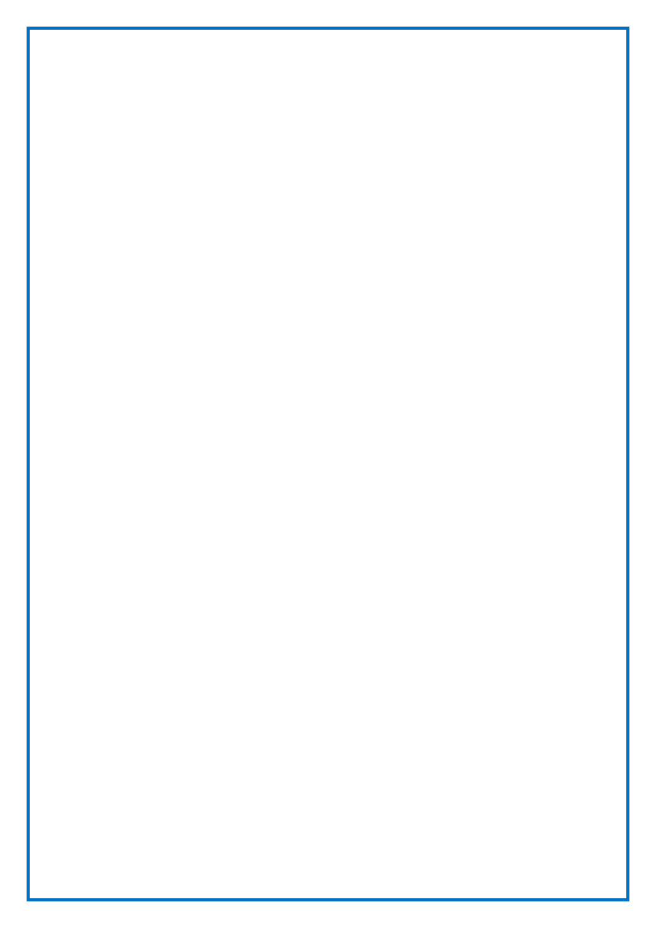